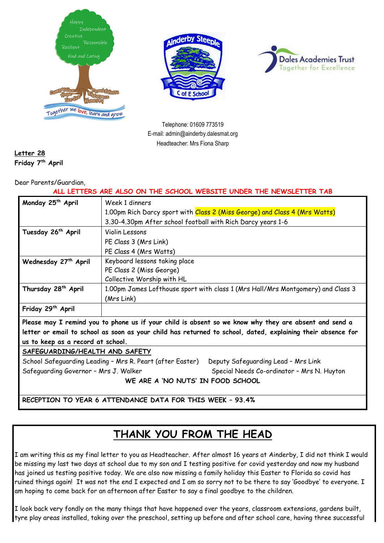





Telephone: 01609 773519 E-mail: admin@ainderby.dalesmat.org Headteacher: Mrs Fiona Sharp

**Letter 28 Friday 7 th April** 

#### Dear Parents/Guardian,

#### **ALL LETTERS ARE ALSO ON THE SCHOOL WEBSITE UNDER THE NEWSLETTER TAB Monday 25th April** Week 1 dinners

|                                                                                                        | 1.00pm Rich Darcy sport with Class 2 (Miss George) and Class 4 (Mrs Watts)      |
|--------------------------------------------------------------------------------------------------------|---------------------------------------------------------------------------------|
|                                                                                                        | 3.30-4.30pm After school football with Rich Darcy years 1-6                     |
| Tuesday 26 <sup>th</sup> April                                                                         | Violin Lessons                                                                  |
|                                                                                                        | PE Class 3 (Mrs Link)                                                           |
|                                                                                                        | PE Class 4 (Mrs Watts)                                                          |
| Wednesday 27 <sup>th</sup> April                                                                       | Keyboard lessons taking place                                                   |
|                                                                                                        | PE Class 2 (Miss George)                                                        |
|                                                                                                        | Collective Worship with HL                                                      |
| Thursday 28 <sup>th</sup> April                                                                        | 1.00pm James Lofthouse sport with class 1 (Mrs Hall/Mrs Montgomery) and Class 3 |
|                                                                                                        | (Mrs Link)                                                                      |
| Friday 29 <sup>th</sup> April                                                                          |                                                                                 |
| Dlogge mou I nomind you to phono us if your object is choont go we know why thou and ghoont and gond a |                                                                                 |

**Please may I remind you to phone us if your child is absent so we know why they are absent and send a letter or email to school as soon as your child has returned to school, dated, explaining their absence for us to keep as a record at school.**

#### **SAFEGUARDING/HEALTH AND SAFETY**

School Safeguarding Leading - Mrs R. Peart (after Easter) Deputy Safeguarding Lead - Mrs Link Safeguarding Governor – Mrs J. Walker Special Needs Co-ordinator – Mrs N. Huyton

**WE ARE A 'NO NUTS' IN FOOD SCHOOL**

#### **RECEPTION TO YEAR 6 ATTENDANCE DATA FOR THIS WEEK – 93.4%**

# **THANK YOU FROM THE HEAD**

I am writing this as my final letter to you as Headteacher. After almost 16 years at Ainderby, I did not think I would be missing my last two days at school due to my son and I testing positive for covid yesterday and now my husband has joined us testing positive today. We are also now missing a family holiday this Easter to Florida so covid has ruined things again! It was not the end I expected and I am so sorry not to be there to say 'Goodbye' to everyone. I am hoping to come back for an afternoon after Easter to say a final goodbye to the children.

I look back very fondly on the many things that have happened over the years, classroom extensions, gardens built, tyre play areas installed, taking over the preschool, setting up before and after school care, having three successful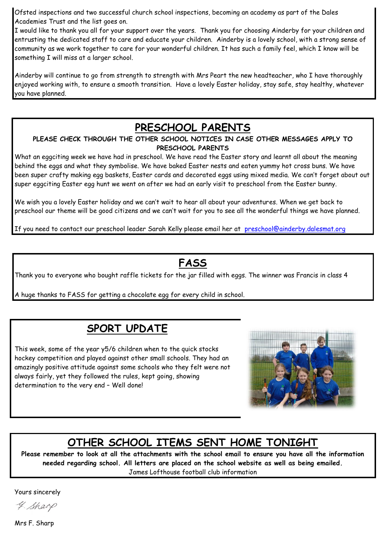Ofsted inspections and two successful church school inspections, becoming an academy as part of the Dales Academies Trust and the list goes on.

I would like to thank you all for your support over the years. Thank you for choosing Ainderby for your children and entrusting the dedicated staff to care and educate your children. Ainderby is a lovely school, with a strong sense of community as we work together to care for your wonderful children. It has such a family feel, which I know will be something I will miss at a larger school.

Ainderby will continue to go from strength to strength with Mrs Peart the new headteacher, who I have thoroughly enjoyed working with, to ensure a smooth transition. Have a lovely Easter holiday, stay safe, stay healthy, whatever you have planned.

### **PRESCHOOL PARENTS**

**PLEASE CHECK THROUGH THE OTHER SCHOOL NOTICES IN CASE OTHER MESSAGES APPLY TO PRESCHOOL PARENTS**

What an eggciting week we have had in preschool. We have read the Easter story and learnt all about the meaning behind the eggs and what they symbolise. We have baked Easter nests and eaten yummy hot cross buns. We have been super crafty making egg baskets, Easter cards and decorated eggs using mixed media. We can't forget about out super eggciting Easter egg hunt we went on after we had an early visit to preschool from the Easter bunny.

We wish you a lovely Easter holiday and we can't wait to hear all about your adventures. When we get back to preschool our theme will be good citizens and we can't wait for you to see all the wonderful things we have planned.

If you need to contact our preschool leader Sarah Kelly please email her at [preschool@ainderby.dalesmat.org](mailto:preschool@ainderby.dalesmat.org)

### **FASS**

Thank you to everyone who bought raffle tickets for the jar filled with eggs. The winner was Francis in class 4

A huge thanks to FASS for getting a chocolate egg for every child in school.

#### **SPORT UPDATE**

This week, some of the year y5/6 children when to the quick stocks hockey competition and played against other small schools. They had an amazingly positive attitude against some schools who they felt were not always fairly, yet they followed the rules, kept going, showing determination to the very end – Well done!



# **OTHER SCHOOL ITEMS SENT HOME TONIGHT**

**Please remember to look at all the attachments with the school email to ensure you have all the information needed regarding school. All letters are placed on the school website as well as being emailed.** James Lofthouse football club information

Yours sincerely

4. Sharp